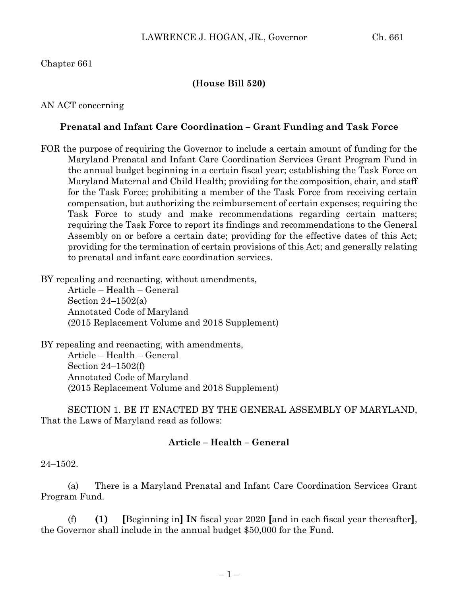## Chapter 661

### **(House Bill 520)**

### AN ACT concerning

### **Prenatal and Infant Care Coordination – Grant Funding and Task Force**

FOR the purpose of requiring the Governor to include a certain amount of funding for the Maryland Prenatal and Infant Care Coordination Services Grant Program Fund in the annual budget beginning in a certain fiscal year; establishing the Task Force on Maryland Maternal and Child Health; providing for the composition, chair, and staff for the Task Force; prohibiting a member of the Task Force from receiving certain compensation, but authorizing the reimbursement of certain expenses; requiring the Task Force to study and make recommendations regarding certain matters; requiring the Task Force to report its findings and recommendations to the General Assembly on or before a certain date; providing for the effective dates of this Act; providing for the termination of certain provisions of this Act; and generally relating to prenatal and infant care coordination services.

BY repealing and reenacting, without amendments,

Article – Health – General Section 24–1502(a) Annotated Code of Maryland (2015 Replacement Volume and 2018 Supplement)

BY repealing and reenacting, with amendments, Article – Health – General Section 24–1502(f) Annotated Code of Maryland (2015 Replacement Volume and 2018 Supplement)

SECTION 1. BE IT ENACTED BY THE GENERAL ASSEMBLY OF MARYLAND, That the Laws of Maryland read as follows:

### **Article – Health – General**

24–1502.

(a) There is a Maryland Prenatal and Infant Care Coordination Services Grant Program Fund.

(f) **(1) [**Beginning in**] IN** fiscal year 2020 **[**and in each fiscal year thereafter**]**, the Governor shall include in the annual budget \$50,000 for the Fund.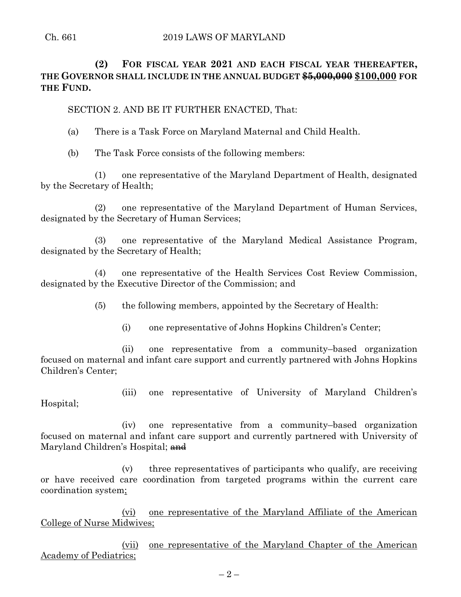# **(2) FOR FISCAL YEAR 2021 AND EACH FISCAL YEAR THEREAFTER, THE GOVERNOR SHALL INCLUDE IN THE ANNUAL BUDGET \$5,000,000 \$100,000 FOR THE FUND.**

SECTION 2. AND BE IT FURTHER ENACTED, That:

- (a) There is a Task Force on Maryland Maternal and Child Health.
- (b) The Task Force consists of the following members:

(1) one representative of the Maryland Department of Health, designated by the Secretary of Health;

(2) one representative of the Maryland Department of Human Services, designated by the Secretary of Human Services;

(3) one representative of the Maryland Medical Assistance Program, designated by the Secretary of Health;

(4) one representative of the Health Services Cost Review Commission, designated by the Executive Director of the Commission; and

(5) the following members, appointed by the Secretary of Health:

(i) one representative of Johns Hopkins Children's Center;

(ii) one representative from a community–based organization focused on maternal and infant care support and currently partnered with Johns Hopkins Children's Center;

(iii) one representative of University of Maryland Children's Hospital;

(iv) one representative from a community–based organization focused on maternal and infant care support and currently partnered with University of Maryland Children's Hospital; and

(v) three representatives of participants who qualify, are receiving or have received care coordination from targeted programs within the current care coordination system;

(vi) one representative of the Maryland Affiliate of the American College of Nurse Midwives;

(vii) one representative of the Maryland Chapter of the American Academy of Pediatrics;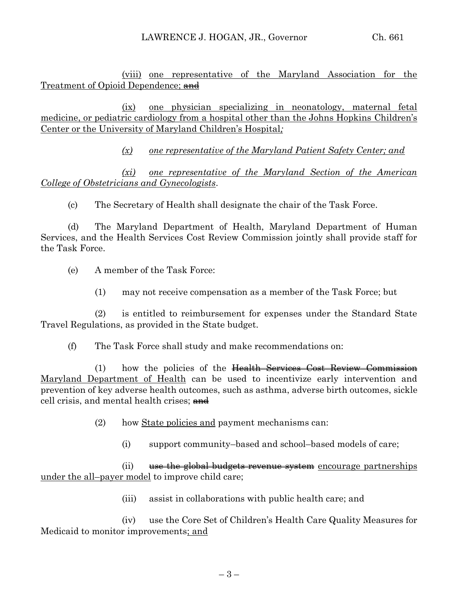(viii) one representative of the Maryland Association for the Treatment of Opioid Dependence; and

(ix) one physician specializing in neonatology, maternal fetal medicine, or pediatric cardiology from a hospital other than the Johns Hopkins Children's Center or the University of Maryland Children's Hospital*;*

*(x) one representative of the Maryland Patient Safety Center; and*

*(xi) one representative of the Maryland Section of the American College of Obstetricians and Gynecologists*.

(c) The Secretary of Health shall designate the chair of the Task Force.

(d) The Maryland Department of Health, Maryland Department of Human Services, and the Health Services Cost Review Commission jointly shall provide staff for the Task Force.

- (e) A member of the Task Force:
	- (1) may not receive compensation as a member of the Task Force; but

(2) is entitled to reimbursement for expenses under the Standard State Travel Regulations, as provided in the State budget.

(f) The Task Force shall study and make recommendations on:

(1) how the policies of the Health Services Cost Review Commission Maryland Department of Health can be used to incentivize early intervention and prevention of key adverse health outcomes, such as asthma, adverse birth outcomes, sickle cell crisis, and mental health crises; and

- (2) how State policies and payment mechanisms can:
	- (i) support community–based and school–based models of care;

 $(i)$  use the global budgets revenue system encourage partnerships under the all–payer model to improve child care;

(iii) assist in collaborations with public health care; and

(iv) use the Core Set of Children's Health Care Quality Measures for Medicaid to monitor improvements; and